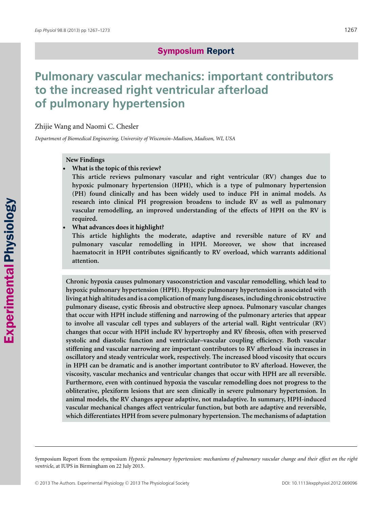# **Symposium Report**

# **Pulmonary vascular mechanics: important contributors to the increased right ventricular afterload of pulmonary hypertension**

Zhijie Wang and Naomi C. Chesler

*Department of Biomedical Engineering, University of Wisconsin–Madison, Madison, WI, USA*

### **New Findings**

-**What is the topic of this review?**

**This article reviews pulmonary vascular and right ventricular (RV) changes due to hypoxic pulmonary hypertension (HPH), which is a type of pulmonary hypertension (PH) found clinically and has been widely used to induce PH in animal models. As research into clinical PH progression broadens to include RV as well as pulmonary vascular remodelling, an improved understanding of the effects of HPH on the RV is required.**

-**What advances does it highlight?**

**This article highlights the moderate, adaptive and reversible nature of RV and pulmonary vascular remodelling in HPH. Moreover, we show that increased haematocrit in HPH contributes significantly to RV overload, which warrants additional attention.**

**Chronic hypoxia causes pulmonary vasoconstriction and vascular remodelling, which lead to hypoxic pulmonary hypertension (HPH). Hypoxic pulmonary hypertension is associated with living at high altitudes and is a complication of many lung diseases, including chronic obstructive pulmonary disease, cystic fibrosis and obstructive sleep apnoea. Pulmonary vascular changes that occur with HPH include stiffening and narrowing of the pulmonary arteries that appear to involve all vascular cell types and sublayers of the arterial wall. Right ventricular (RV) changes that occur with HPH include RV hypertrophy and RV fibrosis, often with preserved systolic and diastolic function and ventricular–vascular coupling efficiency. Both vascular stiffening and vascular narrowing are important contributors to RV afterload via increases in oscillatory and steady ventricular work, respectively. The increased blood viscosity that occurs in HPH can be dramatic and is another important contributor to RV afterload. However, the viscosity, vascular mechanics and ventricular changes that occur with HPH are all reversible. Furthermore, even with continued hypoxia the vascular remodelling does not progress to the obliterative, plexiform lesions that are seen clinically in severe pulmonary hypertension. In animal models, the RV changes appear adaptive, not maladaptive. In summary, HPH-induced vascular mechanical changes affect ventricular function, but both are adaptive and reversible, which differentiates HPH from severe pulmonary hypertension. The mechanisms of adaptation**

Symposium Report from the symposium *Hypoxic pulmonary hypertension: mechanisms of pulmonary vascular change and their effect on the right ventricle*, at IUPS in Birmingham on 22 July 2013.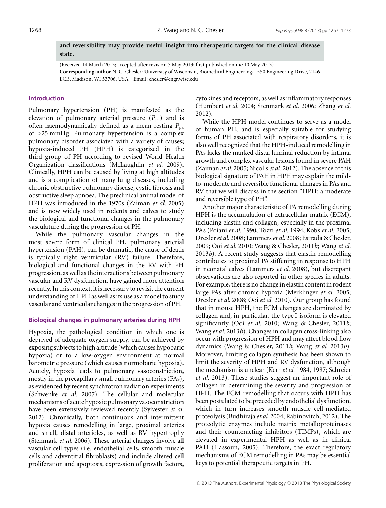**and reversibility may provide useful insight into therapeutic targets for the clinical disease state.**

(Received 14 March 2013; accepted after revision 7 May 2013; first published online 10 May 2013) **Corresponding author** N. C. Chesler: University of Wisconsin, Biomedical Engineering, 1550 Engineering Drive, 2146 ECB, Madison, WI 53706, USA. Email: chesler@engr.wisc.edu

#### **Introduction**

Pulmonary hypertension (PH) is manifested as the elevation of pulmonary arterial pressure  $(P_{pa})$  and is often haemodynamically defined as a mean resting  $P_{pa}$ of >25 mmHg. Pulmonary hypertension is a complex pulmonary disorder associated with a variety of causes; hypoxia-induced PH (HPH) is categorized in the third group of PH according to revised World Health Organization classifications (McLaughlin *et al.* 2009). Clinically, HPH can be caused by living at high altitudes and is a complication of many lung diseases, including chronic obstructive pulmonary disease, cystic fibrosis and obstructive sleep apnoea. The preclinical animal model of HPH was introduced in the 1970s (Zaiman *et al.* 2005) and is now widely used in rodents and calves to study the biological and functional changes in the pulmonary vasculature during the progression of PH.

While the pulmonary vascular changes in the most severe form of clinical PH, pulmonary arterial hypertension (PAH), can be dramatic, the cause of death is typically right ventricular (RV) failure. Therefore, biological and functional changes in the RV with PH progression, as well as the interactions between pulmonary vascular and RV dysfunction, have gained more attention recently. In this context, it is necessary to revisit the current understanding of HPH as well as its use as a model to study vascular and ventricular changes in the progression of PH.

#### **Biological changes in pulmonary arteries during HPH**

Hypoxia, the pathological condition in which one is deprived of adequate oxygen supply, can be achieved by exposing subjects to high altitude (which causes hypobaric hypoxia) or to a low-oxygen environment at normal barometric pressure (which causes normobaric hypoxia). Acutely, hypoxia leads to pulmonary vasoconstriction, mostly in the precapillary small pulmonary arteries (PAs), as evidenced by recent synchrotron radiation experiments (Schwenke *et al.* 2007). The cellular and molecular mechanisms of acute hypoxic pulmonary vasoconstriction have been extensively reviewed recently (Sylvester *et al.* 2012). Chronically, both continuous and intermittent hypoxia causes remodelling in large, proximal arteries and small, distal arterioles, as well as RV hypertrophy (Stenmark *et al.* 2006). These arterial changes involve all vascular cell types (i.e. endothelial cells, smooth muscle cells and adventitial fibroblasts) and include altered cell proliferation and apoptosis, expression of growth factors,

cytokines and receptors, as well as inflammatory responses (Humbert *et al.* 2004; Stenmark *et al.* 2006; Zhang *et al.* 2012).

While the HPH model continues to serve as a model of human PH, and is especially suitable for studying forms of PH associated with respiratory disorders, it is also well recognized that the HPH-induced remodelling in PAs lacks the marked distal luminal reduction by intimal growth and complex vascular lesions found in severe PAH (Zaiman *et al.* 2005; Nicolls*et al.* 2012). The absence of this biological signature of PAH in HPH may explain the mildto-moderate and reversible functional changes in PAs and RV that we will discuss in the section "HPH: a moderate and reversible type of PH".

Another major characteristic of PA remodelling during HPH is the accumulation of extracellular matrix (ECM), including elastin and collagen, especially in the proximal PAs (Poiani *et al.* 1990; Tozzi *et al.* 1994; Kobs *et al.* 2005; Drexler*et al.* 2008; Lammers*et al.* 2008; Estrada & Chesler, 2009; Ooi *et al.* 2010; Wang & Chesler, 2011*b*; Wang *et al.* 2013*b*). A recent study suggests that elastin remodelling contributes to proximal PA stiffening in response to HPH in neonatal calves (Lammers *et al.* 2008), but discrepant observations are also reported in other species in adults. For example, there is no change in elastin content in rodent large PAs after chronic hypoxia (Merklinger *et al.* 2005; Drexler *et al.* 2008; Ooi *et al.* 2010). Our group has found that in mouse HPH, the ECM changes are dominated by collagen and, in particular, the type I isoform is elevated significantly (Ooi *et al.* 2010; Wang & Chesler, 2011*b*; Wang *et al.* 2013*b*). Changes in collagen cross-linking also occur with progression of HPH and may affect blood flow dynamics (Wang & Chesler, 2011*b*; Wang *et al.* 2013*b*). Moreover, limiting collagen synthesis has been shown to limit the severity of HPH and RV dysfunction, although the mechanism is unclear (Kerr *et al.* 1984, 1987; Schreier *et al.* 2013). These studies suggest an important role of collagen in determining the severity and progression of HPH. The ECM remodelling that occurs with HPH has been postulated to be preceded by endothelial dysfunction, which in turn increases smooth muscle cell-mediated proteolysis (Budhiraja *et al.* 2004; Rabinovitch, 2012). The proteolytic enzymes include matrix metalloproteinases and their counteracting inhibitors (TIMPs), which are elevated in experimental HPH as well as in clinical PAH (Hassoun, 2005). Therefore, the exact regulatory mechanisms of ECM remodelling in PAs may be essential keys to potential therapeutic targets in PH.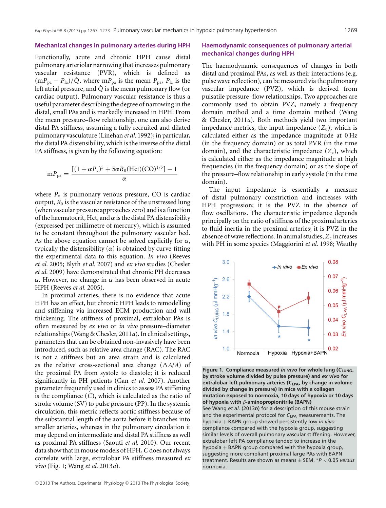#### **Mechanical changes in pulmonary arteries during HPH**

Functionally, acute and chronic HPH cause distal pulmonary arteriolar narrowing that increases pulmonary vascular resistance (PVR), which is defined as  $(mP_{pa} - P_{la})/\dot{Q}$ , where  $mP_{pa}$  is the mean  $P_{pa}$ ,  $P_{la}$  is the left atrial pressure, and *Q*˙ is the mean pulmonary flow (or cardiac output). Pulmonary vascular resistance is thus a useful parameter describing the degree of narrowing in the distal, small PAs and is markedly increased in HPH. From the mean pressure–flow relationship, one can also derive distal PA stiffness, assuming a fully recruited and dilated pulmonary vasculature (Linehan *et al.* 1992); in particular, the distal PA distensibility, which is the inverse of the distal PA stiffness, is given by the following equation:

$$
mP_{pa} = \frac{[(1+\alpha P_v)^5 + 5\alpha R_0 (Hct) (CO)^{1/5}] - 1}{\alpha}
$$

where  $P_v$  is pulmonary venous pressure, CO is cardiac output,  $R_0$  is the vascular resistance of the unstressed lung (when vascular pressure approaches zero) and is afunction of the haematocrit, Hct, and  $\alpha$  is the distal PA distensibility (expressed per millimetre of mercury), which is assumed to be constant throughout the pulmonary vascular bed. As the above equation cannot be solved explicitly for  $\alpha$ , typically the distensibility  $(\alpha)$  is obtained by curve-fitting the experimental data to this equation. *In vivo* (Reeves *et al.* 2005; Blyth *et al.* 2007) and *ex vivo* studies (Chesler *et al.* 2009) have demonstrated that chronic PH decreases α. However, no change in α has been observed in acute HPH (Reeves *et al.* 2005).

In proximal arteries, there is no evidence that acute HPH has an effect, but chronic HPH leads to remodelling and stiffening via increased ECM production and wall thickening. The stiffness of proximal, extralobar PAs is often measured by *ex vivo* or *in vivo* pressure–diameter relationships (Wang & Chesler, 2011*a*). In clinical settings, parameters that can be obtained non-invasively have been introduced, such as relative area change (RAC). The RAC is not a stiffness but an area strain and is calculated as the relative cross-sectional area change  $(∆A/A)$  of the proximal PA from systole to diastole; it is reduced significantly in PH patients (Gan *et al.* 2007). Another parameter frequently used in clinics to assess PA stiffening is the compliance (*C*), which is calculated as the ratio of stroke volume (SV) to pulse pressure (PP). In the systemic circulation, this metric reflects aortic stiffness because of the substantial length of the aorta before it branches into smaller arteries, whereas in the pulmonary circulation it may depend on intermediate and distal PA stiffness as well as proximal PA stiffness (Saouti *et al.* 2010). Our recent data show that in mouse models of HPH,*C* does not always correlate with large, extralobar PA stiffness measured *ex vivo* (Fig. 1; Wang *et al.* 2013*a*).

# **Haemodynamic consequences of pulmonary arterial mechanical changes during HPH**

The haemodynamic consequences of changes in both distal and proximal PAs, as well as their interactions (e.g. pulse wave reflection), can be measured via the pulmonary vascular impedance (PVZ), which is derived from pulsatile pressure–flow relationships. Two approaches are commonly used to obtain PVZ, namely a frequency domain method and a time domain method (Wang & Chesler, 2011*a*). Both methods yield two important impedance metrics, the input impedance  $(Z_0)$ , which is calculated either as the impedance magnitude at 0 Hz (in the frequency domain) or as total PVR (in the time domain), and the characteristic impedance  $(Z_c)$ , which is calculated either as the impedance magnitude at high frequencies (in the frequency domain) or as the slope of the pressure–flow relationship in early systole (in the time domain).

The input impedance is essentially a measure of distal pulmonary constriction and increases with HPH progression; it is the PVZ in the absence of flow oscillations. The characteristic impedance depends principally on the ratio of stiffness of the proximal arteries to fluid inertia in the proximal arteries; it is PVZ in the absence of wave reflections. In animal studies,  $Z_c$  increases with PH in some species (Maggiorini *et al.* 1998; Wauthy



**Figure 1. Compliance measured** *in vivo* **for whole lung (***C***LUNG, by stroke volume divided by pulse pressure) and** *ex vivo* **for extralobar left pulmonary arteries (***C***LPA, by change in volume divided by change in pressure) in mice with a collagen mutation exposed to normoxia, 10 days of hypoxia or 10 days of hypoxia with** β**-aminopropionitrile (BAPN)** See Wang *et al.* (2013*b*) for a description of this mouse strain and the experimental protocol for C<sub>LPA</sub> measurements. The hypoxia + BAPN group showed persistently low *in vivo* compliance compared with the hypoxia group, suggesting similar levels of overall pulmonary vascular stiffening. However, extralobar left PA compliance tended to increase in the hypoxia  $+$  BAPN group compared with the hypoxia group, suggesting more compliant proximal large PAs with BAPN treatment. Results are shown as means ± SEM. <sup>∗</sup>*P* < 0.05 *versus* normoxia.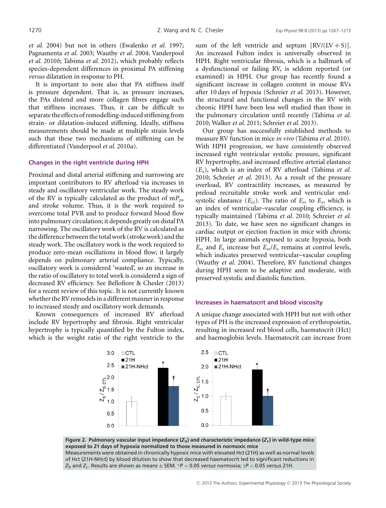*et al.* 2004) but not in others (Ewalenko *et al.* 1997; Pagnamenta *et al.* 2003; Wauthy *et al.* 2004; Vanderpool *et al.* 2010*b*; Tabima *et al.* 2012), which probably reflects species-dependent differences in proximal PA stiffening *versus* dilatation in response to PH.

It is important to note also that PA stiffness itself is pressure dependent. That is, as pressure increases, the PAs distend and more collagen fibres engage such that stiffness increases. Thus, it can be difficult to separate the effects of remodelling-induced stiffening from strain- or dilatation-induced stiffening. Ideally, stiffness measurements should be made at multiple strain levels such that these two mechanisms of stiffening can be differentiated (Vanderpool *et al.* 2010*a*).

#### **Changes in the right ventricle during HPH**

Proximal and distal arterial stiffening and narrowing are important contributors to RV afterload via increases in steady and oscillatory ventricular work. The steady work of the RV is typically calculated as the product of  $mP_{pa}$ and stroke volume. Thus, it is the work required to overcome total PVR and to produce forward blood flow into pulmonary circulation; it depends greatly on distal PA narrowing. The oscillatory work of the RV is calculated as the difference between the total work (stroke work) and the steady work. The oscillatory work is the work required to produce zero-mean oscillations in blood flow; it largely depends on pulmonary arterial compliance. Typically, oscillatory work is considered 'wasted', so an increase in the ratio of oscillatory to total work is considered a sign of decreased RV efficiency. See Bellofiore & Chesler (2013) for a recent review of this topic. It is not currently known whether the RV remodels in a different manner in response to increased steady and oscillatory work demands.

Known consequences of increased RV afterload include RV hypertrophy and fibrosis. Right ventricular hypertrophy is typically quantified by the Fulton index, which is the weight ratio of the right ventricle to the

sum of the left ventricle and septum  $[RV/(LV + S)].$ An increased Fulton index is universally observed in HPH. Right ventricular fibrosis, which is a hallmark of a dysfunctional or failing RV, is seldom reported (or examined) in HPH. Our group has recently found a significant increase in collagen content in mouse RVs after 10 days of hypoxia (Schreier *et al.* 2013). However, the structural and functional changes in the RV with chronic HPH have been less well studied than those in the pulmonary circulation until recently (Tabima *et al.* 2010; Walker *et al.* 2011; Schreier *et al.* 2013).

Our group has successfully established methods to measure RV function in mice *in vivo* (Tabima *et al.* 2010). With HPH progression, we have consistently observed increased right ventricular systolic pressure, significant RV hypertrophy, and increased effective arterial elastance (*E*a), which is an index of RV afterload (Tabima *et al.* 2010; Schreier *et al.* 2013). As a result of the pressure overload, RV contractility increases, as measured by preload recruitable stroke work and ventricular endsystolic elastance  $(E_{es})$ . The ratio of  $E_{es}$  to  $E_a$ , which is an index of ventricular–vascular coupling efficiency, is typically maintained (Tabima *et al.* 2010; Schreier *et al.* 2013). To date, we have seen no significant changes in cardiac output or ejection fraction in mice with chronic HPH. In large animals exposed to acute hypoxia, both *E*es and *E*<sup>a</sup> increase but *E*es/*E*<sup>a</sup> remains at control levels, which indicates preserved ventricular–vascular coupling (Wauthy *et al.* 2004). Therefore, RV functional changes during HPH seem to be adaptive and moderate, with preserved systolic and diastolic function.

#### **Increases in haematocrit and blood viscosity**

A unique change associated with HPH but not with other types of PH is the increased expression of erythropoietin, resulting in increased red blood cells, haematocrit (Hct) and haemoglobin levels. Haematocrit can increase from



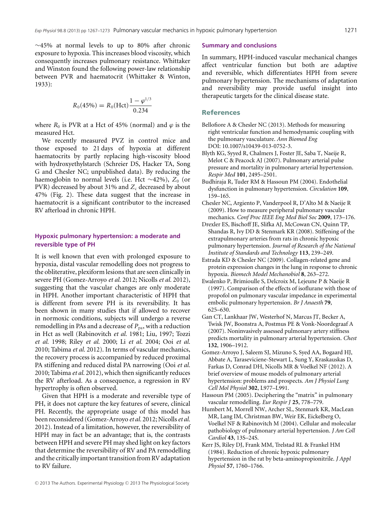∼45% at normal levels to up to 80% after chronic exposure to hypoxia. This increases blood viscosity, which consequently increases pulmonary resistance. Whittaker and Winston found the following power-law relationship between PVR and haematocrit (Whittaker & Winton, 1933):

$$
R_0(45\%) = R_0(\text{Hct}) \frac{1 - \varphi^{1/3}}{0.234}
$$

where  $R_0$  is PVR at a Hct of 45% (normal) and  $\varphi$  is the measured Hct.

We recently measured PVZ in control mice and those exposed to 21 days of hypoxia at different haematocrits by partly replacing high-viscosity blood with hydroxyethylstarch (Schreier DS, Hacker TA, Song G and Chesler NC; unpublished data). By reducing the haemoglobin to normal levels (i.e. Hct ∼42%),  $Z_0$  (or PVR) decreased by about 31% and  $Z_c$  decreased by about 47% (Fig. 2). These data suggest that the increase in haematocrit is a significant contributor to the increased RV afterload in chronic HPH.

#### **Hypoxic pulmonary hypertension: a moderate and reversible type of PH**

It is well known that even with prolonged exposure to hypoxia, distal vascular remodelling does not progress to the obliterative, plexiform lesions that are seen clinically in severe PH (Gomez-Arroyo *et al.* 2012; Nicolls *et al.* 2012), suggesting that the vascular changes are only moderate in HPH. Another important characteristic of HPH that is different from severe PH is its reversibility. It has been shown in many studies that if allowed to recover in normoxic conditions, subjects will undergo a reverse remodelling in PAs and a decrease of  $P_{pa}$ , with a reduction in Hct as well (Rabinovitch *et al.* 1981; Liu, 1997; Tozzi *et al.* 1998; Riley *et al.* 2000; Li *et al.* 2004; Ooi *et al.* 2010; Tabima *et al.* 2012). In terms of vascular mechanics, the recovery process is accompanied by reduced proximal PA stiffening and reduced distal PA narrowing (Ooi *et al.* 2010; Tabima *et al.* 2012), which then significantly reduces the RV afterload. As a consequence, a regression in RV hypertrophy is often observed.

Given that HPH is a moderate and reversible type of PH, it does not capture the key features of severe, clinical PH. Recently, the appropriate usage of this model has been reconsidered (Gomez-Arroyo *et al.* 2012; Nicolls*et al.* 2012). Instead of a limitation, however, the reversibility of HPH may in fact be an advantage; that is, the contrasts between HPH and severe PH may shed light on key factors that determine the reversibility of RV and PA remodelling and the critically important transition from RV adaptation to RV failure.

#### **Summary and conclusions**

In summary, HPH-induced vascular mechanical changes affect ventricular function but both are adaptive and reversible, which differentiates HPH from severe pulmonary hypertension. The mechanisms of adaptation and reversibility may provide useful insight into therapeutic targets for the clinical disease state.

#### **References**

- Bellofiore A & Chesler NC (2013). Methods for measuring right ventricular function and hemodynamic coupling with the pulmonary vasculature. *Ann Biomed Eng* DOI: 10.1007/s10439-013-0752-3.
- Blyth KG, Syyed R, Chalmers J, Foster JE, Saba T, Naeije R, Melot C & Peacock AJ (2007). Pulmonary arterial pulse pressure and mortality in pulmonary arterial hypertension. *Respir Med* **101**, 2495–2501.
- Budhiraja R, Tuder RM & Hassoun PM (2004). Endothelial dysfunction in pulmonary hypertension. *Circulation* **109**, 159–165.
- Chesler NC, Argiento P, Vanderpool R, D'Alto M & Naeije R (2009). How to measure peripheral pulmonary vascular mechanics. *Conf Proc IEEE Eng Med Biol Soc* **2009**, 173–176.
- Drexler ES, Bischoff JE, Slifka AJ, McCowan CN, Quinn TP, Shandas R, Ivy DD & Stenmark KR (2008). Stiffening of the extrapulmonary arteries from rats in chronic hypoxic pulmonary hypertension. *Journal of Research of the National Institute of Standards and Technology* **113**, 239–249.
- Estrada KD & Chesler NC (2009). Collagen-related gene and protein expression changes in the lung in response to chronic hypoxia. *Biomech Model Mechanobiol* **8**, 263–272.
- Ewalenko P, Brimioulle S, Delcroix M, Lejeune P & Naeije R (1997). Comparison of the effects of isoflurane with those of propofol on pulmonary vascular impedance in experimental embolic pulmonary hypertension. *Br J Anaesth* **79**, 625–630.
- Gan CT, Lankhaar JW, Westerhof N, Marcus JT, Becker A, Twisk JW, Boonstra A, Postmus PE & Vonk-Noordegraaf A (2007). Noninvasively assessed pulmonary artery stiffness predicts mortality in pulmonary arterial hypertension. *Chest* **132**, 1906–1912.
- Gomez-Arroyo J, Saleem SJ, Mizuno S, Syed AA, Bogaard HJ, Abbate A, Taraseviciene-Stewart L, Sung Y, Kraskauskas D, Farkas D, Conrad DH, Nicolls MR & Voelkel NF (2012). A brief overview of mouse models of pulmonary arterial hypertension: problems and prospects. *Am J Physiol Lung Cell Mol Physiol* **302**, L977–L991.
- Hassoun PM (2005). Deciphering the "matrix" in pulmonary vascular remodelling. *Eur Respir J* **25**, 778–779.
- Humbert M, Morrell NW, Archer SL, Stenmark KR, MacLean MR, Lang IM, Christman BW, Weir EK, Eickelberg O, Voelkel NF & Rabinovitch M (2004). Cellular and molecular pathobiology of pulmonary arterial hypertension. *J Am Coll Cardiol* **43**, 13S–24S.
- Kerr JS, Riley DJ, Frank MM, Trelstad RL & Frankel HM (1984). Reduction of chronic hypoxic pulmonary hypertension in the rat by beta-aminopropionitrile. *J Appl Physiol* **57**, 1760–1766.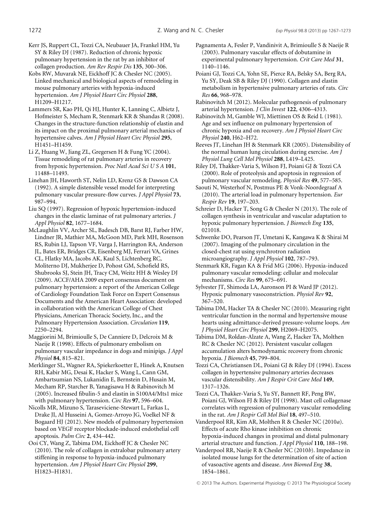- Kerr JS, Ruppert CL, Tozzi CA, Neubauer JA, Frankel HM, Yu SY & Riley DJ (1987). Reduction of chronic hypoxic pulmonary hypertension in the rat by an inhibitor of collagen production. *Am Rev Respir Dis* **135**, 300–306.
- Kobs RW, Muvarak NE, Eickhoff JC & Chesler NC (2005). Linked mechanical and biological aspects of remodeling in mouse pulmonary arteries with hypoxia-induced hypertension. *Am J Physiol Heart Circ Physiol* **288**, H1209–H1217.
- Lammers SR, Kao PH, Qi HJ, Hunter K, Lanning C, Albietz J, Hofmeister S, Mecham R, Stenmark KR & Shandas R (2008). Changes in the structure-function relationship of elastin and its impact on the proximal pulmonary arterial mechanics of hypertensive calves. *Am J Physiol Heart Circ Physiol* **295**, H1451–H1459.
- Li Z, Huang W, Jiang ZL, Gregersen H & Fung YC (2004). Tissue remodeling of rat pulmonary arteries in recovery from hypoxic hypertension. *Proc Natl Acad Sci U S A* **101**, 11488–11493.
- Linehan JH, Haworth ST, Nelin LD, Krenz GS & Dawson CA (1992). A simple distensible vessel model for interpreting pulmonary vascular pressure-flow curves. *J Appl Physiol* **73**, 987–994.
- Liu SQ (1997). Regression of hypoxic hypertension-induced changes in the elastic laminae of rat pulmonary arteries. *J Appl Physiol* **82**, 1677–1684.
- McLaughlin VV, Archer SL, Badesch DB, Barst RJ, Farber HW, Lindner JR, Mathier MA, McGoon MD, Park MH, Rosenson RS, Rubin LJ, Tapson VF, Varga J, Harrington RA, Anderson JL, Bates ER, Bridges CR, Eisenberg MJ, Ferrari VA, Grines CL, Hlatky MA, Jacobs AK, Kaul S, Lichtenberg RC, Moliterno DJ, Mukherjee D, Pohost GM, Schofield RS, Shubrooks SJ, Stein JH, Tracy CM, Weitz HH & Wesley DJ (2009). ACCF/AHA 2009 expert consensus document on pulmonary hypertension: a report of the American College of Cardiology Foundation Task Force on Expert Consensus Documents and the American Heart Association: developed in collaboration with the American College of Chest Physicians, American Thoracic Society, Inc., and the Pulmonary Hypertension Association. *Circulation* **119**, 2250–2294.
- Maggiorini M, Brimioulle S, De Canniere D, Delcroix M & Naeije R (1998). Effects of pulmonary embolism on pulmonary vascular impedance in dogs and minipigs. *J Appl Physiol* **84**, 815–821.
- Merklinger SL, Wagner RA, Spiekerkoetter E, Hinek A, Knutsen RH, Kabir MG, Desai K, Hacker S, Wang L, Cann GM, Ambartsumian NS, Lukanidin E, Bernstein D, Husain M, Mecham RP, Starcher B, Yanagisawa H & Rabinovitch M (2005). Increased fibulin-5 and elastin in S100A4/Mts1 mice with pulmonary hypertension. *Circ Res* **97**, 596–604.
- Nicolls MR, Mizuno S, Taraseviciene-Stewart L, Farkas L, Drake JI, Al Husseini A, Gomez-Arroyo JG, Voelkel NF & Bogaard HJ (2012). New models of pulmonary hypertension based on VEGF receptor blockade-induced endothelial cell apoptosis. *Pulm Circ* **2**, 434–442.
- Ooi CY, Wang Z, Tabima DM, Eickhoff JC & Chesler NC (2010). The role of collagen in extralobar pulmonary artery stiffening in response to hypoxia-induced pulmonary hypertension. *Am J Physiol Heart Circ Physiol* **299**, H1823–H1831.
- Pagnamenta A, Fesler P, Vandinivit A, Brimioulle S & Naeije R (2003). Pulmonary vascular effects of dobutamine in experimental pulmonary hypertension. *Crit Care Med* **31**, 1140–1146.
- Poiani GJ, Tozzi CA, Yohn SE, Pierce RA, Belsky SA, Berg RA, Yu SY, Deak SB & Riley DJ (1990). Collagen and elastin metabolism in hypertensive pulmonary arteries of rats. *Circ Res* **66**, 968–978.
- Rabinovitch M (2012). Molecular pathogenesis of pulmonary arterial hypertension. *J Clin Invest* **122**, 4306–4313.

Rabinovitch M, Gamble WJ, Miettinen OS & Reid L (1981). Age and sex influence on pulmonary hypertension of chronic hypoxia and on recovery. *Am J Physiol Heart Circ Physiol* **240**, H62–H72.

Reeves JT, Linehan JH & Stenmark KR (2005). Distensibility of the normal human lung circulation during exercise. *Am J Physiol Lung Cell Mol Physiol* **288**, L419–L425.

Riley DJ, Thakker-Varia S, Wilson FJ, Poiani GJ & Tozzi CA (2000). Role of proteolysis and apoptosis in regression of pulmonary vascular remodeling. *Physiol Res* **49**, 577–585.

- Saouti N, Westerhof N, Postmus PE & Vonk-Noordegraaf A (2010). The arterial load in pulmonary hypertension. *Eur Respir Rev* **19**, 197–203.
- Schreier D, Hacker T, Song G & Chesler N (2013). The role of collagen synthesis in ventricular and vascular adaptation to hypoxic pulmonary hypertension. *J Biomech Eng* **135**, 021018.
- Schwenke DO, Pearson JT, Umetani K, Kangawa K & Shirai M (2007). Imaging of the pulmonary circulation in the closed-chest rat using synchrotron radiation microangiography. *J Appl Physiol* **102**, 787–793.
- Stenmark KR, Fagan KA & Frid MG (2006). Hypoxia-induced pulmonary vascular remodeling: cellular and molecular mechanisms. *Circ Res* **99**, 675–691.
- Sylvester JT, Shimoda LA, Aaronson PI & Ward JP (2012). Hypoxic pulmonary vasoconstriction. *Physiol Rev* **92**, 367–520.
- Tabima DM, Hacker TA & Chesler NC (2010). Measuring right ventricular function in the normal and hypertensive mouse hearts using admittance-derived pressure-volume loops. *Am J Physiol Heart Circ Physiol* **299**, H2069–H2075.
- Tabima DM, Roldan-Alzate A, Wang Z, Hacker TA, Molthen RC & Chesler NC (2012). Persistent vascular collagen accumulation alters hemodynamic recovery from chronic hypoxia. *J Biomech* **45**, 799–804.

Tozzi CA, Christiansen DL, Poiani GJ & Riley DJ (1994). Excess collagen in hypertensive pulmonary arteries decreases vascular distensibility. *Am J Respir Crit Care Med* **149**, 1317–1326.

Tozzi CA, Thakker-Varia S, Yu SY, Bannett RF, Peng BW, Poiani GJ, Wilson FJ & Riley DJ (1998). Mast cell collagenase correlates with regression of pulmonary vascular remodeling in the rat. *Am J Respir Cell Mol Biol* **18**, 497–510.

Vanderpool RR, Kim AR, Molthen R & Chesler NC (2010*a*). Effects of acute Rho kinase inhibition on chronic hypoxia-induced changes in proximal and distal pulmonary arterial structure and function. *J Appl Physiol* **110**, 188–198.

Vanderpool RR, Naeije R & Chesler NC (2010*b*). Impedance in isolated mouse lungs for the determination of site of action of vasoactive agents and disease. *Ann Biomed Eng* **38**, 1854–1861.